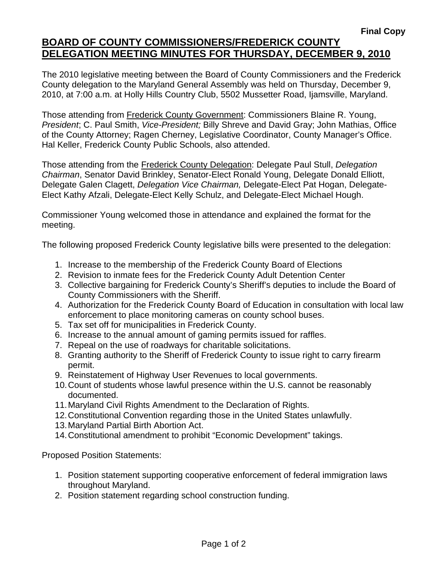The 2010 legislative meeting between the Board of County Commissioners and the Frederick County delegation to the Maryland General Assembly was held on Thursday, December 9, 2010, at 7:00 a.m. at Holly Hills Country Club, 5502 Mussetter Road, Ijamsville, Maryland.

Those attending from Frederick County Government: Commissioners Blaine R. Young, *President*; C. Paul Smith, *Vice-President;* Billy Shreve and David Gray; John Mathias, Office of the County Attorney; Ragen Cherney, Legislative Coordinator, County Manager's Office. Hal Keller, Frederick County Public Schools, also attended.

Those attending from the Frederick County Delegation: Delegate Paul Stull, *Delegation Chairman*, Senator David Brinkley, Senator-Elect Ronald Young, Delegate Donald Elliott, Delegate Galen Clagett, *Delegation Vice Chairman,* Delegate-Elect Pat Hogan, Delegate-Elect Kathy Afzali, Delegate-Elect Kelly Schulz, and Delegate-Elect Michael Hough.

Commissioner Young welcomed those in attendance and explained the format for the meeting.

The following proposed Frederick County legislative bills were presented to the delegation:

- 1. Increase to the membership of the Frederick County Board of Elections
- 2. Revision to inmate fees for the Frederick County Adult Detention Center
- 3. Collective bargaining for Frederick County's Sheriff's deputies to include the Board of County Commissioners with the Sheriff.
- 4. Authorization for the Frederick County Board of Education in consultation with local law enforcement to place monitoring cameras on county school buses.
- 5. Tax set off for municipalities in Frederick County.
- 6. Increase to the annual amount of gaming permits issued for raffles.
- 7. Repeal on the use of roadways for charitable solicitations.
- 8. Granting authority to the Sheriff of Frederick County to issue right to carry firearm permit.
- 9. Reinstatement of Highway User Revenues to local governments.
- 10. Count of students whose lawful presence within the U.S. cannot be reasonably documented.
- 11. Maryland Civil Rights Amendment to the Declaration of Rights.
- 12. Constitutional Convention regarding those in the United States unlawfully.
- 13. Maryland Partial Birth Abortion Act.
- 14. Constitutional amendment to prohibit "Economic Development" takings.

Proposed Position Statements:

- 1. Position statement supporting cooperative enforcement of federal immigration laws throughout Maryland.
- 2. Position statement regarding school construction funding.